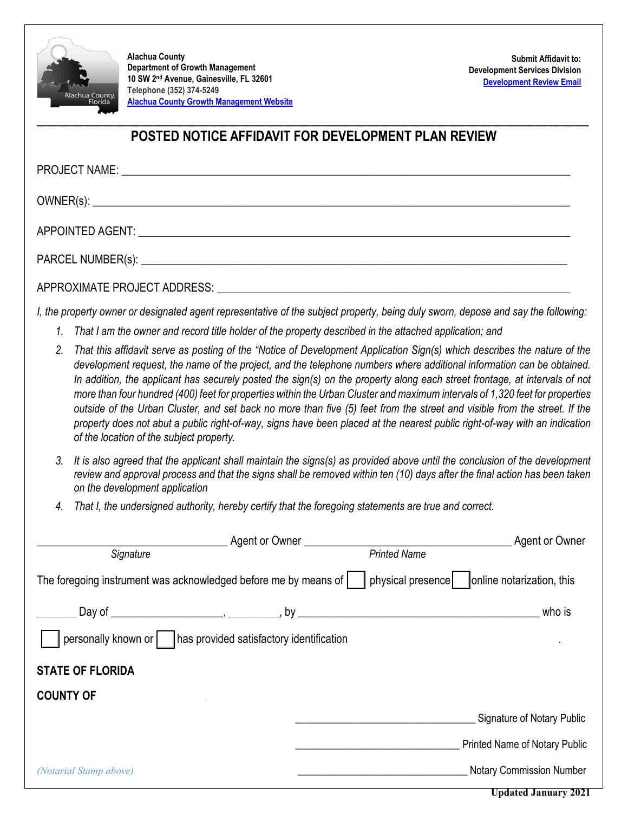

**Alachua County Department of Growth Management 10 SW 2nd Avenue, Gainesville, FL 32601 Telephone (352) 374-5249 [Alachua County Growth Management Website](http://growth-management.alachuacounty.us/)**

## **POSTED NOTICE AFFIDAVIT FOR DEVELOPMENT PLAN REVIEW**

PROJECT NAME: \_\_\_\_\_\_\_\_\_\_\_\_\_\_\_\_\_\_\_\_\_\_\_\_\_\_\_\_\_\_\_\_\_\_\_\_\_\_\_\_\_\_\_\_\_\_\_\_\_\_\_\_\_\_\_\_\_\_\_\_\_\_\_\_\_\_\_\_\_\_\_\_\_\_\_\_\_\_\_\_

OWNER(s): \_\_\_\_\_\_\_\_\_\_\_\_\_\_\_\_\_\_\_\_\_\_\_\_\_\_\_\_\_\_\_\_\_\_\_\_\_\_\_\_\_\_\_\_\_\_\_\_\_\_\_\_\_\_\_\_\_\_\_\_\_\_\_\_\_\_\_\_\_\_\_\_\_\_\_\_\_\_\_\_\_\_\_\_\_

APPOINTED AGENT: \_\_\_\_\_\_\_\_\_\_\_\_\_\_\_\_\_\_\_\_\_\_\_\_\_\_\_\_\_\_\_\_\_\_\_\_\_\_\_\_\_\_\_\_\_\_\_\_\_\_\_\_\_\_\_\_\_\_\_\_\_\_\_\_\_\_\_\_\_\_\_\_\_\_\_\_\_

PARCEL NUMBER(s):  $\blacksquare$ 

APPROXIMATE PROJECT ADDRESS: \_\_\_\_\_\_\_\_\_\_\_\_\_\_\_\_\_\_\_\_\_\_\_\_\_\_\_\_\_\_\_\_\_\_\_\_\_\_\_\_\_\_\_\_\_\_\_\_\_\_\_\_\_\_\_\_\_\_\_\_\_\_\_

*I, the property owner or designated agent representative of the subject property, being duly sworn, depose and say the following:*

- *1. That I am the owner and record title holder of the property described in the attached application; and*
- *2. That this affidavit serve as posting of the "Notice of Development Application Sign(s) which describes the nature of the development request, the name of the project, and the telephone numbers where additional information can be obtained. In addition, the applicant has securely posted the sign(s) on the property along each street frontage, at intervals of not more than four hundred (400) feet for properties within the Urban Cluster and maximum intervals of 1,320 feet for properties outside of the Urban Cluster, and set back no more than five (5) feet from the street and visible from the street. If the property does not abut a public right-of-way, signs have been placed at the nearest public right-of-way with an indication of the location of the subject property.*
- *3. It is also agreed that the applicant shall maintain the signs(s) as provided above until the conclusion of the development review and approval process and that the signs shall be removed within ten (10) days after the final action has been taken on the development application*
- *4. That I, the undersigned authority, hereby certify that the foregoing statements are true and correct.*

|                                                                                                      |                                                   | Agent or Owner                       |
|------------------------------------------------------------------------------------------------------|---------------------------------------------------|--------------------------------------|
| Signature                                                                                            | <b>Printed Name</b>                               |                                      |
| The foregoing instrument was acknowledged before me by means of                                      | physical presence       online notarization, this |                                      |
|                                                                                                      |                                                   | who is                               |
| personally known or     has provided satisfactory identification ___________________________________ |                                                   |                                      |
| <b>STATE OF FLORIDA</b>                                                                              |                                                   |                                      |
| <b>COUNTY OF</b>                                                                                     |                                                   |                                      |
|                                                                                                      |                                                   | Signature of Notary Public           |
|                                                                                                      |                                                   | <b>Printed Name of Notary Public</b> |
| (Notarial Stamp above)                                                                               |                                                   | <b>Notary Commission Number</b>      |
| <b>Updated January 2021</b>                                                                          |                                                   |                                      |